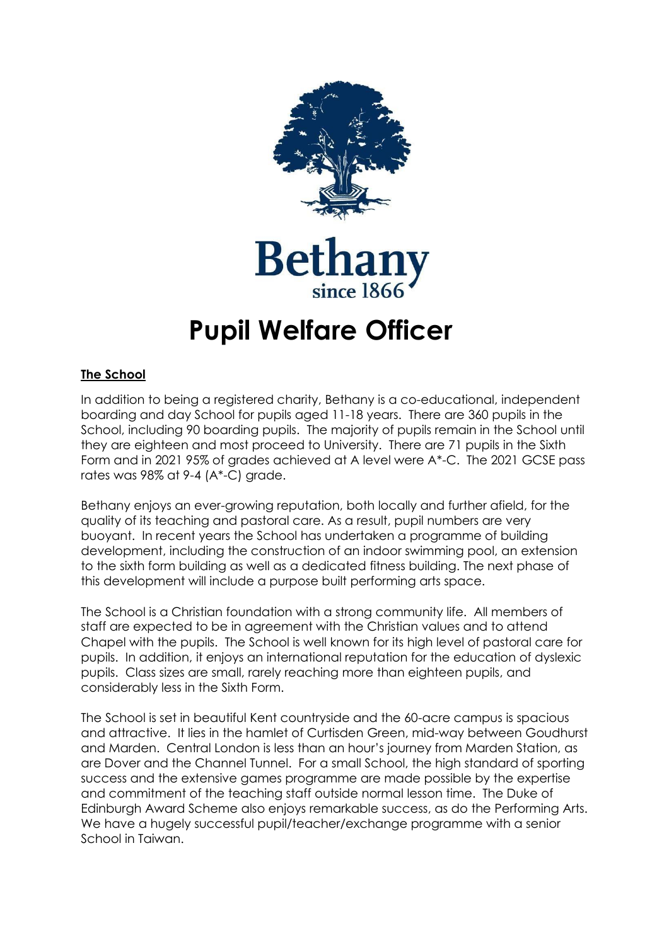

**Betha** 

# **Pupil Welfare Officer**

## **The School**

In addition to being a registered charity, Bethany is a co-educational, independent boarding and day School for pupils aged 11-18 years. There are 360 pupils in the School, including 90 boarding pupils. The majority of pupils remain in the School until they are eighteen and most proceed to University. There are 71 pupils in the Sixth Form and in 2021 95% of grades achieved at A level were A\*-C. The 2021 GCSE pass rates was 98% at 9-4 (A\*-C) grade.

Bethany enjoys an ever-growing reputation, both locally and further afield, for the quality of its teaching and pastoral care. As a result, pupil numbers are very buoyant. In recent years the School has undertaken a programme of building development, including the construction of an indoor swimming pool, an extension to the sixth form building as well as a dedicated fitness building. The next phase of this development will include a purpose built performing arts space.

The School is a Christian foundation with a strong community life. All members of staff are expected to be in agreement with the Christian values and to attend Chapel with the pupils. The School is well known for its high level of pastoral care for pupils. In addition, it enjoys an international reputation for the education of dyslexic pupils. Class sizes are small, rarely reaching more than eighteen pupils, and considerably less in the Sixth Form.

The School is set in beautiful Kent countryside and the 60-acre campus is spacious and attractive. It lies in the hamlet of Curtisden Green, mid-way between Goudhurst and Marden. Central London is less than an hour's journey from Marden Station, as are Dover and the Channel Tunnel. For a small School, the high standard of sporting success and the extensive games programme are made possible by the expertise and commitment of the teaching staff outside normal lesson time. The Duke of Edinburgh Award Scheme also enjoys remarkable success, as do the Performing Arts. We have a hugely successful pupil/teacher/exchange programme with a senior School in Taiwan.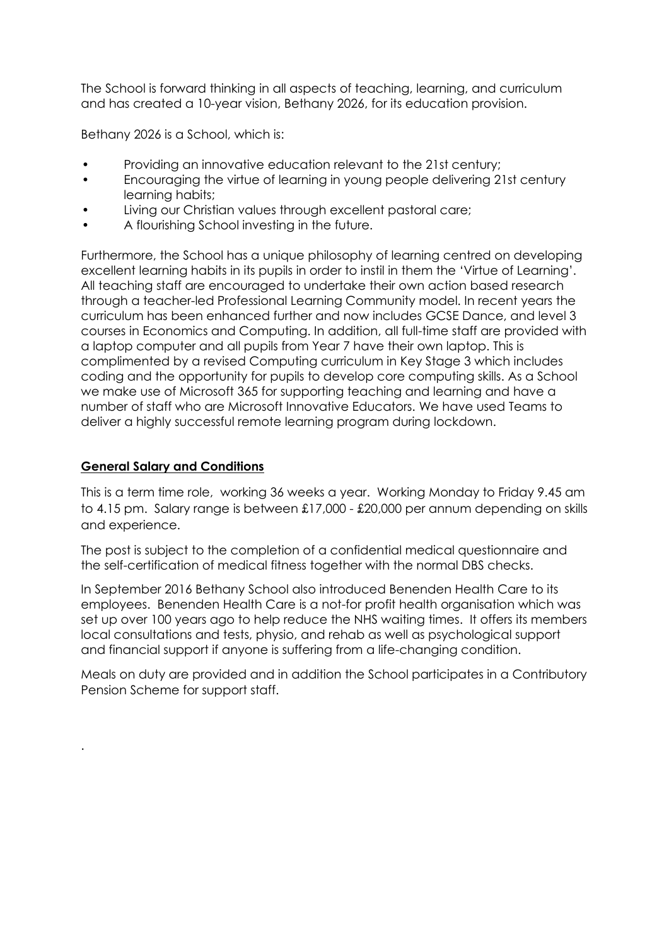The School is forward thinking in all aspects of teaching, learning, and curriculum and has created a 10-year vision, Bethany 2026, for its education provision.

Bethany 2026 is a School, which is:

- Providing an innovative education relevant to the 21st century;
- Encouraging the virtue of learning in young people delivering 21st century learning habits;
- Living our Christian values through excellent pastoral care;
- A flourishing School investing in the future.

Furthermore, the School has a unique philosophy of learning centred on developing excellent learning habits in its pupils in order to instil in them the 'Virtue of Learning'. All teaching staff are encouraged to undertake their own action based research through a teacher-led Professional Learning Community model. In recent years the curriculum has been enhanced further and now includes GCSE Dance, and level 3 courses in Economics and Computing. In addition, all full-time staff are provided with a laptop computer and all pupils from Year 7 have their own laptop. This is complimented by a revised Computing curriculum in Key Stage 3 which includes coding and the opportunity for pupils to develop core computing skills. As a School we make use of Microsoft 365 for supporting teaching and learning and have a number of staff who are Microsoft Innovative Educators. We have used Teams to deliver a highly successful remote learning program during lockdown.

#### **General Salary and Conditions**

.

This is a term time role, working 36 weeks a year. Working Monday to Friday 9.45 am to 4.15 pm. Salary range is between £17,000 - £20,000 per annum depending on skills and experience.

The post is subject to the completion of a confidential medical questionnaire and the self-certification of medical fitness together with the normal DBS checks.

In September 2016 Bethany School also introduced Benenden Health Care to its employees. Benenden Health Care is a not-for profit health organisation which was set up over 100 years ago to help reduce the NHS waiting times. It offers its members local consultations and tests, physio, and rehab as well as psychological support and financial support if anyone is suffering from a life-changing condition.

Meals on duty are provided and in addition the School participates in a Contributory Pension Scheme for support staff.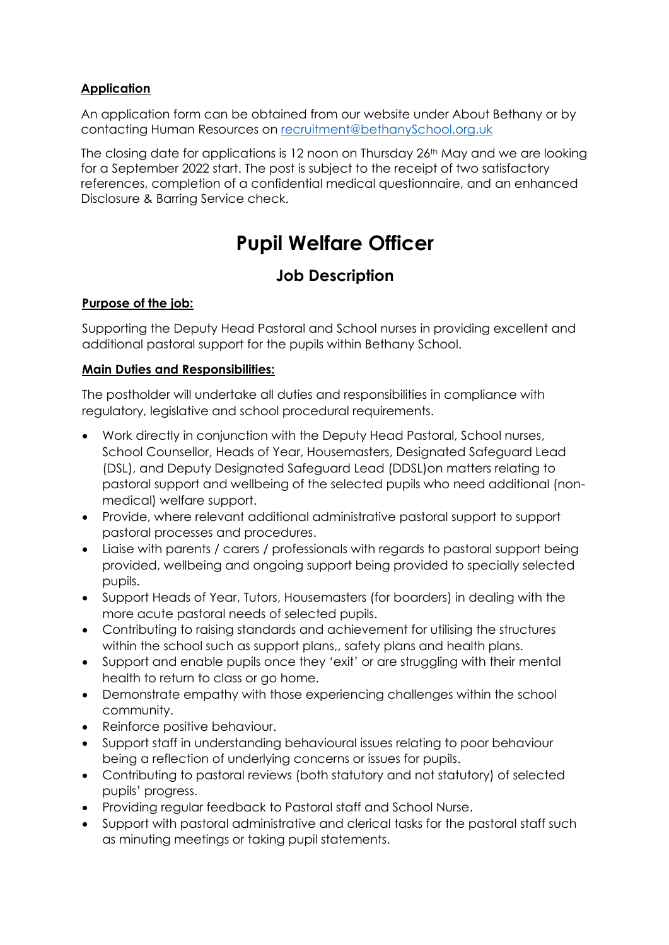#### **Application**

An application form can be obtained from our website under About Bethany or by contacting Human Resources on [recruitment@bethanySchool.org.uk](mailto:recruitment@bethanyschool.org.uk)

The closing date for applications is 12 noon on Thursday 26<sup>th</sup> May and we are looking for a September 2022 start. The post is subject to the receipt of two satisfactory references, completion of a confidential medical questionnaire, and an enhanced Disclosure & Barring Service check.

# **Pupil Welfare Officer**

# **Job Description**

## **Purpose of the job:**

Supporting the Deputy Head Pastoral and School nurses in providing excellent and additional pastoral support for the pupils within Bethany School.

#### **Main Duties and Responsibilities:**

The postholder will undertake all duties and responsibilities in compliance with regulatory, legislative and school procedural requirements.

- Work directly in conjunction with the Deputy Head Pastoral, School nurses, School Counsellor, Heads of Year, Housemasters, Designated Safeguard Lead (DSL), and Deputy Designated Safeguard Lead (DDSL)on matters relating to pastoral support and wellbeing of the selected pupils who need additional (nonmedical) welfare support.
- Provide, where relevant additional administrative pastoral support to support pastoral processes and procedures.
- Liaise with parents / carers / professionals with regards to pastoral support being provided, wellbeing and ongoing support being provided to specially selected pupils.
- Support Heads of Year, Tutors, Housemasters (for boarders) in dealing with the more acute pastoral needs of selected pupils.
- Contributing to raising standards and achievement for utilising the structures within the school such as support plans,, safety plans and health plans.
- Support and enable pupils once they 'exit' or are struggling with their mental health to return to class or go home.
- Demonstrate empathy with those experiencing challenges within the school community.
- Reinforce positive behaviour.
- Support staff in understanding behavioural issues relating to poor behaviour being a reflection of underlying concerns or issues for pupils.
- Contributing to pastoral reviews (both statutory and not statutory) of selected pupils' progress.
- Providing regular feedback to Pastoral staff and School Nurse.
- Support with pastoral administrative and clerical tasks for the pastoral staff such as minuting meetings or taking pupil statements.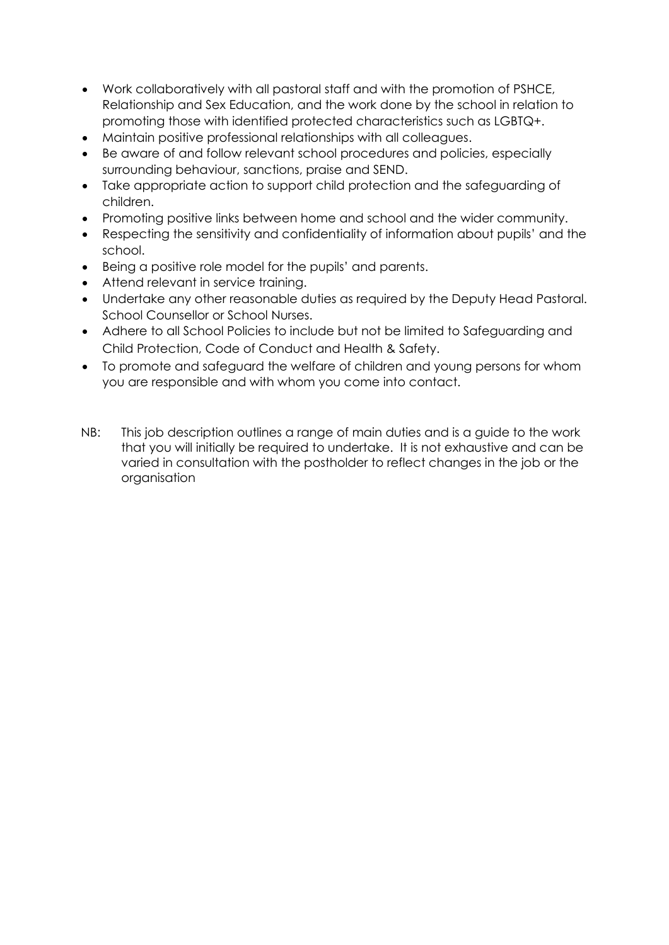- Work collaboratively with all pastoral staff and with the promotion of PSHCE, Relationship and Sex Education, and the work done by the school in relation to promoting those with identified protected characteristics such as LGBTQ+.
- Maintain positive professional relationships with all colleagues.
- Be aware of and follow relevant school procedures and policies, especially surrounding behaviour, sanctions, praise and SEND.
- Take appropriate action to support child protection and the safeguarding of children.
- Promoting positive links between home and school and the wider community.
- Respecting the sensitivity and confidentiality of information about pupils' and the school.
- Being a positive role model for the pupils' and parents.
- Attend relevant in service training.
- Undertake any other reasonable duties as required by the Deputy Head Pastoral. School Counsellor or School Nurses.
- Adhere to all School Policies to include but not be limited to Safeguarding and Child Protection, Code of Conduct and Health & Safety.
- To promote and safeguard the welfare of children and young persons for whom you are responsible and with whom you come into contact.
- NB: This job description outlines a range of main duties and is a guide to the work that you will initially be required to undertake. It is not exhaustive and can be varied in consultation with the postholder to reflect changes in the job or the organisation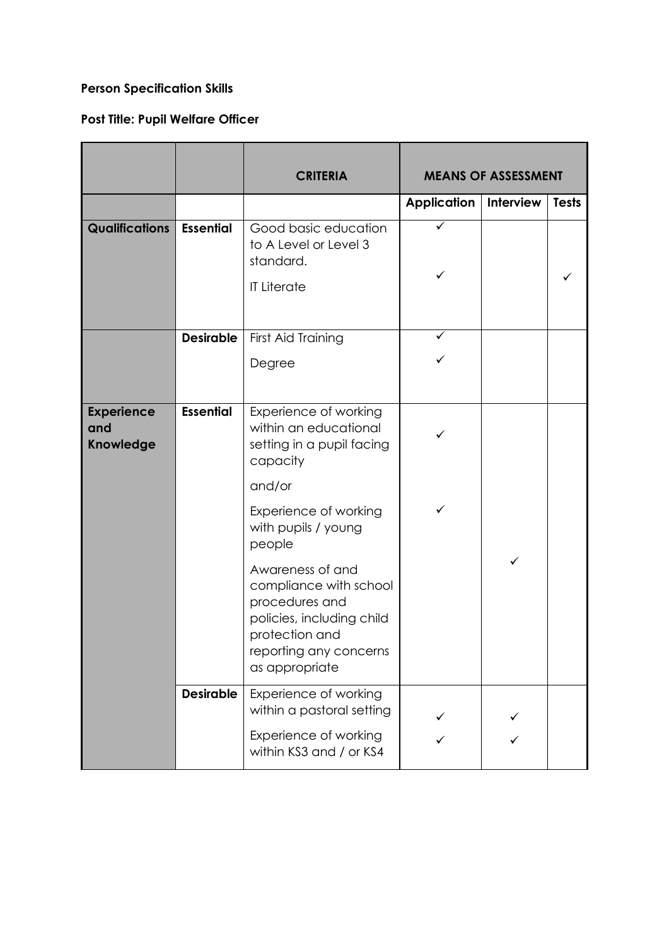# **Person Specification Skills**

# **Post Title: Pupil Welfare Officer**

|                                              |                  | <b>CRITERIA</b>                                                                                                                                         | <b>MEANS OF ASSESSMENT</b> |           |              |
|----------------------------------------------|------------------|---------------------------------------------------------------------------------------------------------------------------------------------------------|----------------------------|-----------|--------------|
|                                              |                  |                                                                                                                                                         | <b>Application</b>         | Interview | <b>Tests</b> |
| <b>Qualifications</b>                        | <b>Essential</b> | Good basic education<br>to A Level or Level 3<br>standard.<br><b>IT Literate</b>                                                                        | ✓                          |           |              |
|                                              | <b>Desirable</b> | First Aid Training<br>Degree                                                                                                                            | ✓                          |           |              |
| <b>Experience</b><br>and<br><b>Knowledge</b> | <b>Essential</b> | Experience of working<br>within an educational<br>setting in a pupil facing<br>capacity                                                                 |                            |           |              |
|                                              |                  | and/or<br>Experience of working<br>with pupils / young<br>people                                                                                        | ✓                          |           |              |
|                                              |                  | Awareness of and<br>compliance with school<br>procedures and<br>policies, including child<br>protection and<br>reporting any concerns<br>as appropriate |                            | ✓         |              |
|                                              | <b>Desirable</b> | Experience of working<br>within a pastoral setting<br>Experience of working<br>within KS3 and / or KS4                                                  |                            |           |              |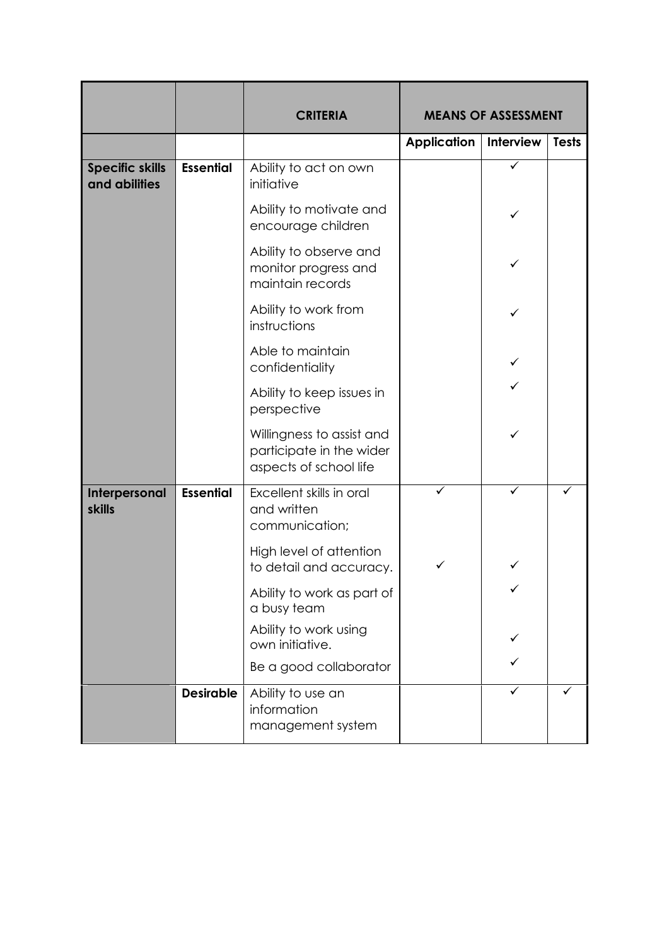|                                         |                  | <b>CRITERIA</b>                                                                 | <b>MEANS OF ASSESSMENT</b> |           |              |
|-----------------------------------------|------------------|---------------------------------------------------------------------------------|----------------------------|-----------|--------------|
|                                         |                  |                                                                                 | <b>Application</b>         | Interview | <b>Tests</b> |
| <b>Specific skills</b><br>and abilities | <b>Essential</b> | Ability to act on own<br>initiative                                             |                            | ✓         |              |
|                                         |                  | Ability to motivate and<br>encourage children                                   |                            | ✓         |              |
|                                         |                  | Ability to observe and<br>monitor progress and<br>maintain records              |                            | ✓         |              |
|                                         |                  | Ability to work from<br>instructions                                            |                            |           |              |
|                                         |                  | Able to maintain<br>confidentiality                                             |                            |           |              |
|                                         |                  | Ability to keep issues in<br>perspective                                        |                            |           |              |
|                                         |                  | Willingness to assist and<br>participate in the wider<br>aspects of school life |                            | ✓         |              |
| Interpersonal<br><b>skills</b>          | <b>Essential</b> | Excellent skills in oral<br>and written<br>communication;                       | ✓                          | ✓         |              |
|                                         |                  | High level of attention<br>to detail and accuracy.                              |                            |           |              |
|                                         |                  | Ability to work as part of<br>a busy team                                       |                            |           |              |
|                                         |                  | Ability to work using<br>own initiative.                                        |                            |           |              |
|                                         |                  | Be a good collaborator                                                          |                            |           |              |
|                                         | <b>Desirable</b> | Ability to use an<br>information<br>management system                           |                            |           |              |